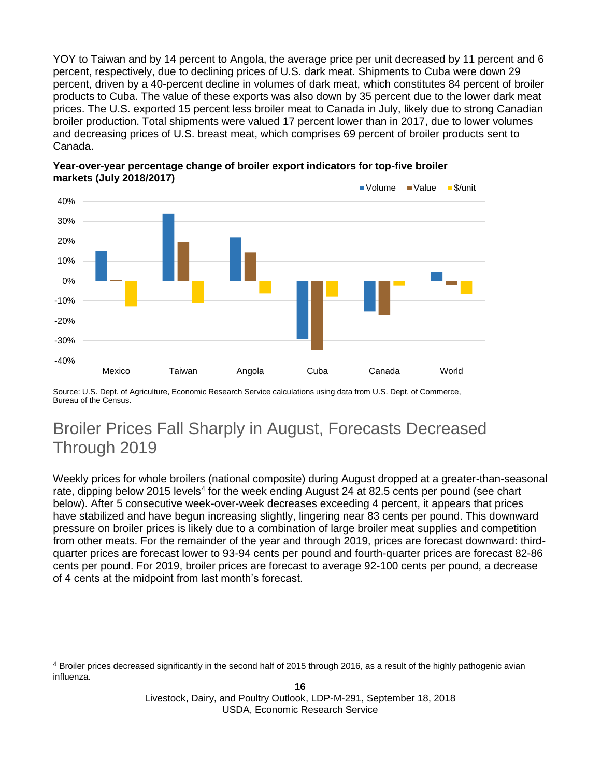

**United States Department of Agriculture** 



# **Livestock, Dairy, and Poultry Outlook**

U.S. Exports of Animal Proteins: Broiler Exports Represent Largest Volume Share, While Beef Exports Comprise Greatest Value Share

### Kim Ha

Year-to-date 2018 exports of beef, pork, lamb, poultry,<sup>1</sup> and eggs amounted to 10.1 billion pounds,<sup>2</sup> valued at \$9.8 billion. In terms of volume, broiler exports represented the largest share (40 percent) of total exports, followed by pork (35 percent), beef and veal (18 percent), turkey (4 percent), eggs (3 percent), and lamb (less than 1 percent) (see chart below). In comparison, the distribution of value shares is more or less equal for all commodities, except for broilers and beef. As depicted in the chart below, beef and veal represent the largest share (42 percent), followed by pork (32 percent), broilers (19 percent), turkey (3 percent), eggs (3 percent), and lamb (less than 1 percent).

#### **Percentage share of major U.S. livestock and poultry exports by commodity, in terms of volume and value (January-July 2018)**



Note: \* Includes eggs and egg products. Shell-egg equivalent converted from dozens to pounds by conversion factor of 1.5 lbs/dozen per egg-sizing guidelines from the U.S. Dept. of Agriculture, Food Safety and Inspection Service. Source: U.S. Dept. of Agriculture, Economic Research Service calculations using data from U.S. Dept. of Commerce, Bureau of the Census.

 $\overline{a}$ 

<sup>&</sup>lt;sup>1</sup> Excludes other poultry

**Approved by USDA's World Agricultural Outlook Board** equivalent (dozens) to pounds by factor of 1.5 lbs/dozen.  $2$  Beef, pork, lamb & mutton and poultry volumes are in terms of carcass-weight equivalent; eggs converted from shell-egg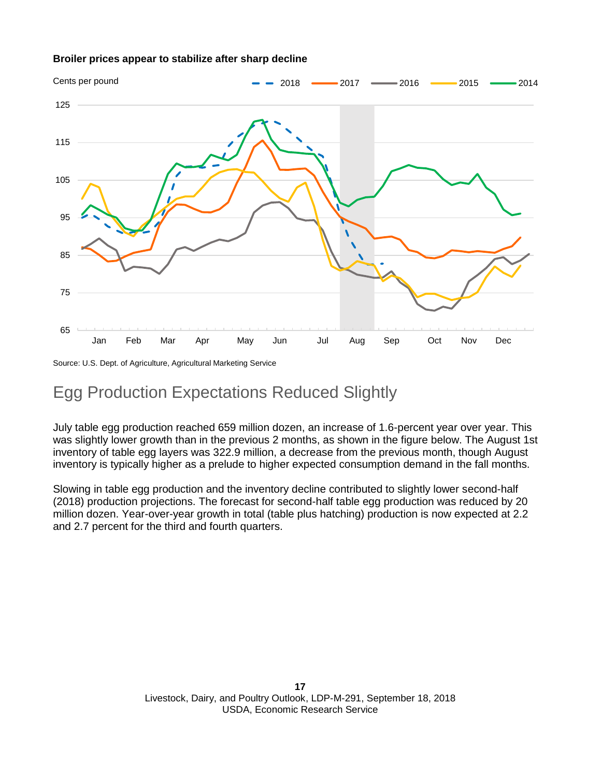**Beef/Cattle:** The 2018 beef production forecast is unchanged from last month's forecast at 27.1 billion pounds. The third-quarter 2018 production forecast was reduced from last month, but it was offset by the higher anticipated production in the fourth quarter. The beef export forecast for 2018 was raised to reflect the record pace driven by strong demand from Asian markets. The 2019 beef export forecast was also raised.

**Dairy:** Due to recent price movements, forecasts have been raised for most dairy products and prices to be received by dairy farmers. The 2018 all-milk price forecast is \$16.30-\$16.50 per cwt, an increase from \$16.10-\$16.30 forecast last month. The 2019 all-milk price forecast is \$16.75-\$17.75, an increase from last month's forecast of \$16.45-\$17.45. Due to lower expected feed prices and higher milk price forecasts, the 2019 milk production forecast has been raised to 221.0 billion pounds, 0.1 billion higher than last month's forecast. With higher expected imports of butterfat products, cheese, and other miscellaneous products, import forecasts have been raised for both 2018 and 2019. With lower expected exports of whey products, export forecasts have been lowered for both 2018 and 2019.

**Pork/Hogs:** Despite accelerated growth in pork production in 2018, total cold stocks of pork have remained at or below 3- and 5-year averages so far this year. Lower pork 2018 prices have encouraged domestic and foreign consumers to demand increased quantities of U.S. pork. Large supplies of hogs are expected to keep hog prices significantly below year-earlier levels through at least the first half of 2019. July pork exports were almost 9 percent higher than a year earlier. Third-quarter pork exports are expected to be 1.3 billion pounds, almost 6 percent higher than in the same period a year ago.

**Poultry/Eggs:** Broiler production projections were not revised, while price projections were decreased for the remainder of 2018 and 2019 on recent price trends and increasing probability of competition across meats. Projections for egg production were revised down slightly for the remainder of 2018 on recent production indicators, while prices were revised down for the third quarter only, on recent price declines just before September.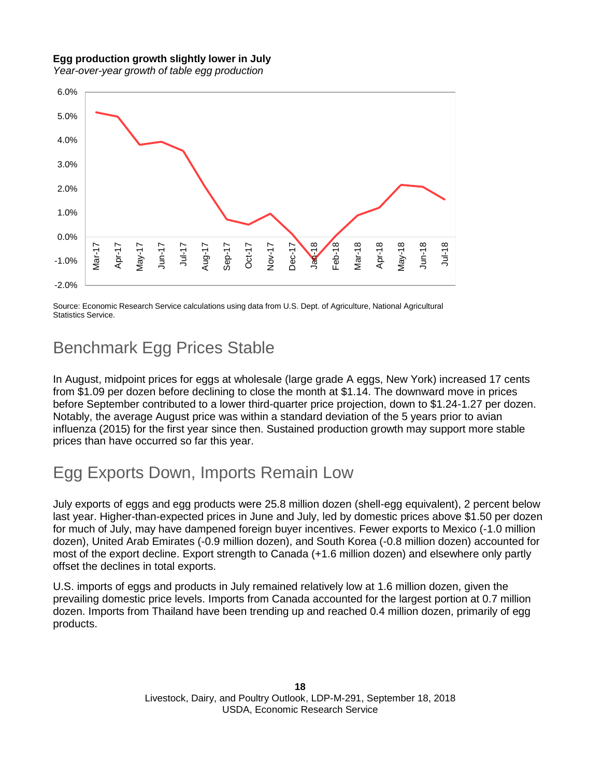# **Cattle / Beef**

Russell Knight and Lekhnath Chalise

# Lighter Weights Offset Higher Slaughter in Second-Half 2018

The 2018 beef production forecast is unchanged from last month's forecast at 27.1 billion pounds. However, the 2018 production forecast reflects lower expected production in the third quarter that offsets higher anticipated production in the fourth quarter.

In third-quarter 2018, the pace of steer and heifer slaughter in July and August was slower than expected. Although slaughter in September will likely reflect rates of per day slaughter slightly above last year, there is 1 less slaughter day in the month of September than last year. Based on the latest NASS *Cattle on Feed* report, a higher percentage of steers and heifers were on feed longer than a year ago, which is not yet showing up in the weekly average dressed weights. As a result, for the week ending September 1, average dressed weights for heifers were 8 pounds above last year, while steers were 2 pounds below a year ago. The slower pace of steer and heifer slaughter may suggest that some of the cattle that might have been marketed in the third quarter will be marketed in the fourth quarter. On the other hand, cow slaughter remains strong through the third quarter, but the higher proportion of typically lighter-weight cows is negating some of the seasonal increases in steer and heifer dressed weights. As a result, the third-quarter beef production forecast is reduced as higher anticipated cow slaughter is nullified by the lower than expected steer and heifer slaughter and lower cattle dressed weights.

Beef production is forecast higher in fourth-quarter 2018 as a result of higher anticipated cow slaughter and the expectation that some of the fed cattle that might have been marketed in the third quarter are expected to come out in the fourth quarter. This will likely elevate steer and heifer dressed weights in the fourth quarter.

The 2019 beef production forecast was left unchanged at 27.7 billion pounds.

# Fall Seasonal Pricing To Take Effect

Feeder cattle prices have shown strength through the summer, but seasonal pressures will likely take hold, moving prices lower in the fourth quarter. Prices typically decrease when the spring-born calves (about two-thirds of the annual calf crop) are brought to market in the fall. Assuming normal weather in the Great Plains, availability of winter forages for backgrounding could bolster prices in fourth-quarter 2018. The third-quarter 2018 price forecast was raised to \$148-\$151 per hundredweight (cwt), and the fourth-quarter 2018 price forecast was increased to \$143-\$151/cwt. The forecast of the 2019 feeder steer annual price was raised to \$139-\$151/cwt on the basis of lower corn prices forecast for the following marketing year.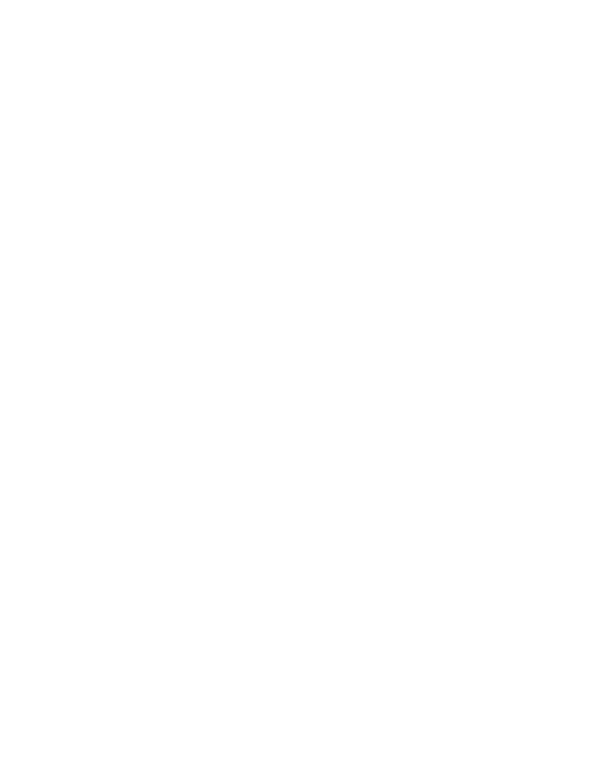### **Percent of cattle on feed over 120 days**



Source: U.S. Dept. of Agriculture, Economic Research Service using data from the National Agricultural Statistics Service.

Regarding fed cattle prices in second-half 2018, feedlots seem to have resisted recent lower prices from packers, which may be reflected in a greater proportion of cattle on feed over 120 days, as shown in the chart above. To the extent these cattle are remaining on feed longer as producers respond to the prospects of higher future prices, there could be a shift of some marketings from the third quarter to the fourth. The fed steer price forecast for the 5-area marketing region in third-quarter 2018 is \$108- \$111/cwt, but the fourth-quarter forecast is lowered to \$108-\$114/cwt in line with expectations of increased marketings. The 2019 fed steer price forecast is unchanged from last month.

### Beef Exports Continue Record Pace

In July, U.S. beef exports reached 279 million pounds, an almost 17-percent increase from 2017, bringing total beef exports for 2018 through July to 15 percent above the same period a year ago. Through July, the major Asian markets for the United States—Japan, South Korea, Taiwan, Hong Kong, and the Philippines—drove this strong record pace with a combined share of nearly 65 percent of the volume of exports. U.S. beef exports to North American markets are also exhibiting positive growth, with a year-over-year share of 24 percent of the market through July, a 6-percent growth so far this year. Mexico leads North America with 10-percent year-over-year growth, while exports to Canada are 0.7 percent above last year. Based on the strong pace of exports through July and USDA Foreign Agricultural Service Export Sales reports through August, the 2018 beef export forecast was raised by 40 million pounds to 3.164 billion pounds. The 2019 beef export forecast was raised 40 million pounds from last month to 3.245 billion pounds.

Imports of U.S. beef in July reached 295 million pounds, down almost 2 percent from a year ago. The cumulative year total through July is 1.822 billion pounds, less than 1 percent above a year ago. The beef import forecasts for 2018 and 2019 are unchanged from last month.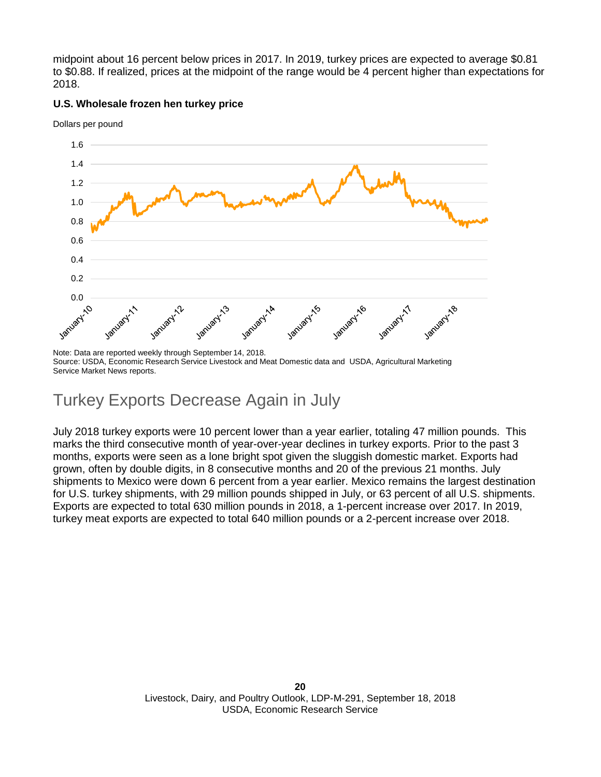### Jerry Cessna and Jonathan Law

# Recent Developments in Dairy Markets

From the week ending August 4 to the week ending September 8, price directions for all major wholesale dairy products reported in the USDA *National Dairy Products Sales Report* (NDPSR) increased. The largest price increases were for cheddar cheese, with 40-pound blocks and 500-pound barrels increasing by 10.3 cents and 22.3 cents, respectively.

|                                | For the week ending |         |        |
|--------------------------------|---------------------|---------|--------|
|                                | Aug. 4              | Sept. 8 | Change |
| <b>Butter</b>                  | 2.2710              | 2.3020  | 0.0310 |
| Cheddar cheese                 |                     |         |        |
| 40-pound blocks                | 1.5731              | 1.6758  | 0.1027 |
| 500-pound barrels <sup>1</sup> | 1.4197              | 1.6427  | 0.2230 |
| Nonfat dry milk                | 0.8016              | 0.8447  | 0.0431 |
| Dry whey                       | 0.3550              | 0.3972  | 0.0422 |

### **Dairy wholesale product prices (dollars per pound)**

<sup>1</sup> Adjusted to 38-percent moisture.

Source: USDA, Agricultural Marketing Service, *National Dairy Products Sales Report*.

For the trading week ending September 14, the Chicago Mercantile Exchange (CME) spot prices for butter, cheddar cheese 40-pound blocks, and cheddar cheese 500-pound barrels were \$2.23, \$1.63, and \$1.47 per pound, respectively—all lower than the corresponding NDPSR prices for the week ending September 8. The CME butter price usually leads the NDPSR butter price for the following week, and the CME cheese prices usually lead the NDPSR cheese prices for the following 2 weeks.

U.S. dairy product prices continue to be competitive with foreign export prices. However, domestic prices for products with high skim-solids content have been converging with foreign export prices in recent months. While the U.S. domestic nonfat dry milk (NDM) price has been only a little lower than Western Europe skim milk powder (SMP) in recent months, the gap between the Oceania SMP export price and the U.S. price fell from 16 cents in April to 10 cents in August. The gap between the Western Europe dry whey export price and the U.S. domestic price fell from 17 cents in April to 8 cents in August.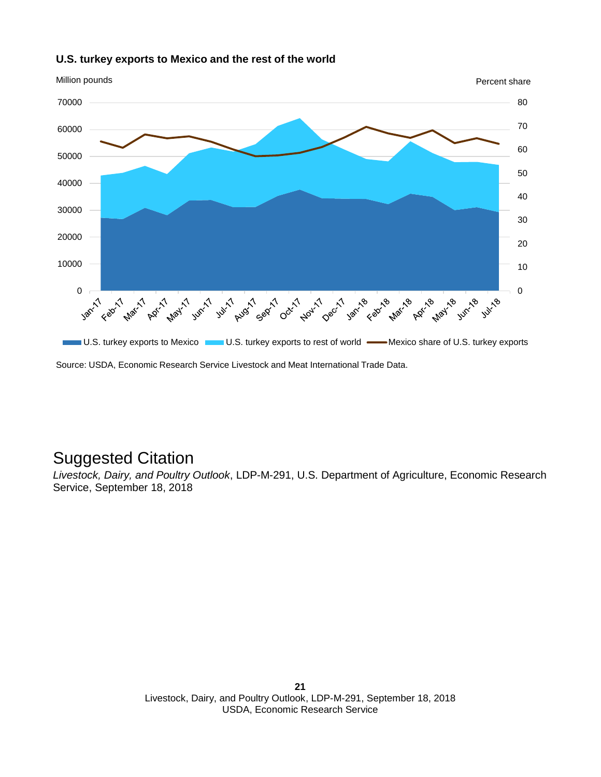### **U.S. wholesale domestic prices for nonfat dry milk and dry whey and corresponding foreign export prices**



 $NDM =$  nonfat dry milk,  $SMP =$  skim milk powder. Source: USDA Agricultural Marketing Service.

USDA National Agricultural Statistics Service (NASS) reported U.S. milk production in July to be 18.350 billion pounds, only 0.4 percent above July 2017. Milk cows numbered 9.396 million head in July, 8,000 less than both June 2018 and July 2017. Milk per cow was 1,953 pounds in July, only 10 pounds above July 2017. Relatively low milk prices and strengthening feed prices have likely contributed to low milk production growth. The milk-feed ratio declined from 2.54 in November to 1.9 in May and has been below 2.0 since then. Heat stress in some parts of the country likely played a role as well. In much of the West, average temperatures in June and July were 3-4 °F above the 1901-2000 base-period means (National Oceanic and Atmospheric Administration).

In July, U.S. dairy product exports on a milk-fat milk-equivalent basis were 883 million pounds, 142 million more than July 2017 but 106 million less than June 2018. July dairy exports on a skim-solids milk-equivalent basis were 3.503 billion pounds, 391 more than July 2017 but 269 million less than June 2018. Tariffs enacted by Mexico and China contributed to the decline in exports from June to July. The main products impacted by the tariffs are cheese exports to Mexico and exports of whey products (dry whey, whey protein concentrate, modified whey, and milk albumin) to China. From June to July, total U.S. cheese exports fell by 15 million pounds, with cheese exports to Mexico declining by 12 million pounds. Total U.S. exports of whey products fell by 14 million pounds from June to July, with whey product exports to China falling by 8 million pounds.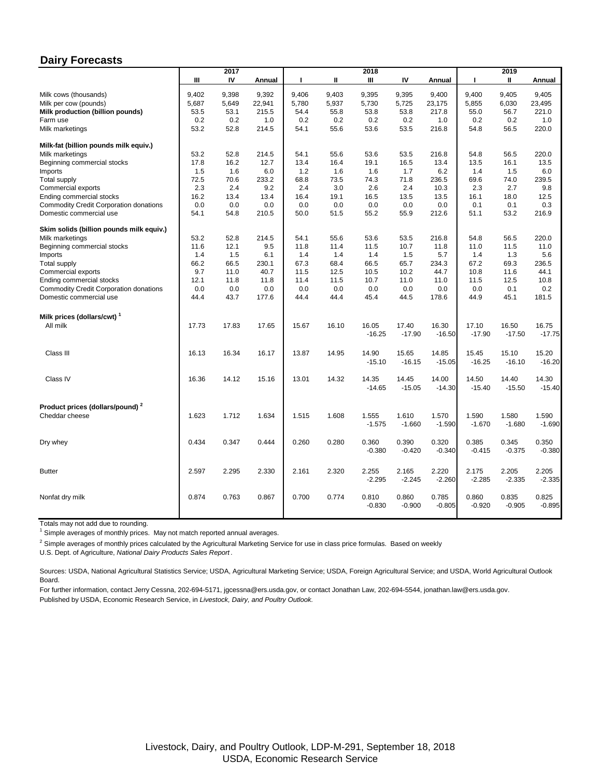### **U.S. exports of whey products to China <sup>1</sup>**



1 Includes dry whey, whey protein concentrate, modified whey, and milk albumin (whey protein isolate). Sources: U.S. Census Bureau data as reported by USDA Foreign Agricultural Service.

In July, imports on a milk-fat basis were 574 million pounds, 62 million more than July 2017 and 66 million more than June 2018. On a skim-solids basis, imports were 504 million pounds, 367million less than July 2017 but 78 million more than June 2018. Imports of butter were 7.5 million pounds in July, the highest of any month since May of 2004, with 77.5 percent of the butter imports coming from Ireland. Cheese imports were also relatively high at 25.4 million pounds, 2.7 million higher than July 2017.



#### **U.S. butter imports from Ireland and the rest of the world**

Sources: U.S. Census Bureau data as reported by USDA Foreign Agricultural Service.

**<sup>7</sup>** Livestock, Dairy, and Poultry Outlook, LDP-M-291, September 18, 2018 USDA, Economic Research Service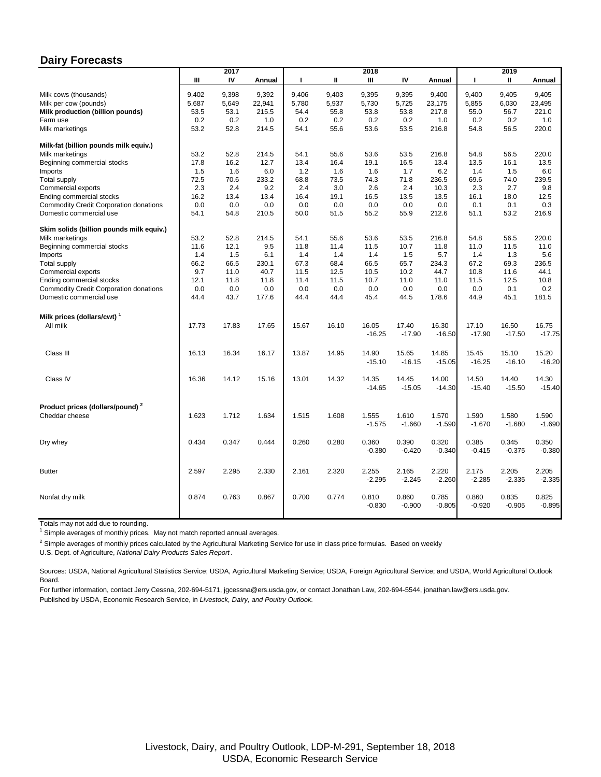# USDA Assistance for the Dairy Industry

In recent weeks, USDA has taken several steps in support of the U.S. dairy industry. On August 8, USDA Risk Management Agency (RMA) announced a new Dairy Revenue Protection program that insures against unexpected declines in quarterly revenue from milk sales. Sign-up for the new product begins Tuesday, October 9, 2018, with the first available coverage starting the first quarter of 2019. For more information see the RMA website's Livestock page.

On August 14, USDA announced plans to purchase fluid milk (whole, 2-percent, 1-percent, and skim) in half-gallons for distribution to The Emergency Food Assistance Program (TEFAP). Purchases will be made under the authority of Section 32 of the Act of August 24, 1935. This will be the first time that the Government has purchased fluid milk under this authority.

On September 4, U.S. Secretary of Agriculture Sonny Perdue launched a trade mitigation package to assist farmers adversely affected by recent trade actions of foreign countries. The package includes three programs: (1) a Market Facilitation Program that will provide payments to producers of designated agricultural products; (2) a Food Purchase and Distribution Program that will distribute designated commodities through nutrition assistance programs; and (3) an Agricultural Trade and Promotion Program to develop foreign markets for agricultural products.

Under the Market Facilitation Program, participating dairy producers will be paid the market facilitation program rate of \$0.12 per cwt times 50 percent of production, with production calculated in the same manner as for the Margin Protection Program for Dairy Producers. For existing dairy operations, the production history is established based on the highest annual production marketed during the full calendar years of 2011, 2012, and 2013. Payments are capped at \$125,000 per person or legal entity. Dairy operations are also required to have been in operation on June 1, 2018. The sign-up period runs through January 15, 2019. Estimated initial payments to dairy producers under the program are expected to total \$127.4 million. USDA may announce an additional payment period.

On September 11, USDA Agricultural Marketing Service issued a pre-solicitation announcement for the purchase of up to \$84.918 million of dairy products under the Food Purchase and Distribution Program. The authority for the purchase is Section 5 of the Commodity Credit Corporation (CCC) Charter Act for distribution to various food nutrition assistance programs. Products to be procured include, but are not limited to, processed cheese in regular loaves, cheddar cheese chunks, and fluid milk (gallons or halfgallons). The delivery timeframes under this announcement are December 16, 2018, through June 2019 for cheese and April through September 2019 for fluid milk.

### Outlook for Feed Prices

The 2017/18 feed price estimate for corn is \$3.40 per bushel, unchanged from last month's estimate. For soybean meal, the 2017/18 feed price estimate is \$345 per short ton, \$5 less than last month's estimate. The alfalfa hay price in July was \$179 per short ton, \$2 lower than June but \$26 higher than July of last year. The average corn price for 2018/19 is projected to be \$3.00-\$4.00 per bushel, 10 cents lower at the midpoint than last month's forecast. The 2018/19 average soybean meal price is projected at \$290-\$330 per short ton, \$5 lower than last month's forecast at the midpoint. For more information, see the USDA Economic Research Service publication *Feed Price Outlook*.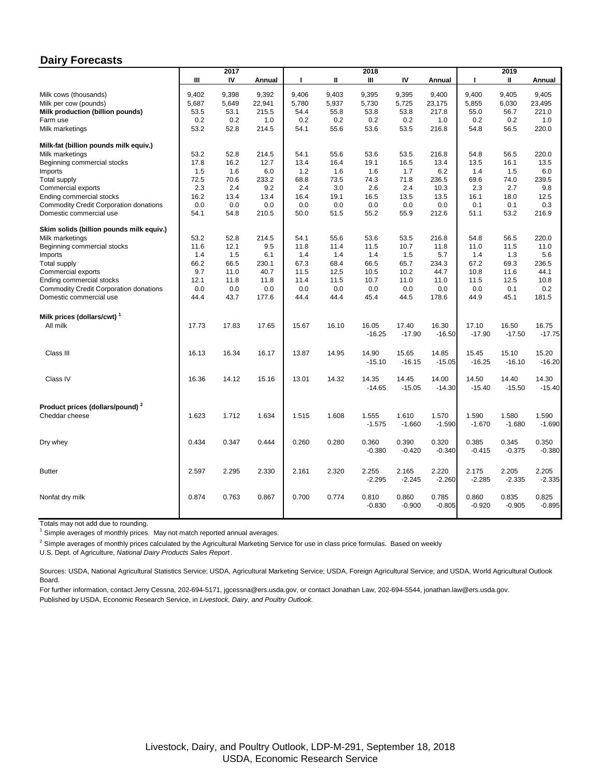## Dairy Forecasts for 2018

With the size of the milking herd falling by 8,000 head from June to July, the 2018 forecast for milk cows has been lowered by 5,000 to 9.400 million head. The milk per cow forecast for the year is unchanged at 23,175 pounds. The milk production forecast for 2018 is 217.8 billion pounds, 0.1 billion less than last month's forecast.

The forecast for imports on a milk-fat basis has been raised 0.2 billion pounds to 6.2 billion for the year, as both butter and cheese imports saw strong year-over-year gains in July. Exports on a milk-fat basis are now forecast at 10.3 billion pounds for the year, slightly lower than previously forecast. Ending stocks are forecast at 13.5 billion pounds, unchanged from last month. The domestic use forecast for the year has been raised 0.2 billion pounds to 212.6 billion.

On a skim-solids basis, the import forecast for the year has been raised slightly to 5.7 billion pounds due to higher expected imports of cheese and several miscellaneous products. July whey product exports declined more than expected and are not expected to rebound significantly for the remainder of 2018. Therefore, exports on a skim-solids basis are now forecast at 44.7 billion pounds, 0.7 billion pounds lower than the last forecast. Higher domestic demand will make up for some, but not all, of the lost exports. As a result, the ending stock forecast has been raised 0.5 billion pounds to 11.0 billion pounds for the year, and domestic use is forecast 0.2 billion pounds higher at 178.6 billion pounds.

Based on recent price movements, dairy product price forecasts for 2018 have mostly been raised from the previous projections. Prices for cheddar cheese and NDM have been raised to \$1.570-\$1.590 and \$0.785-\$0.805, respectively. Although exports of whey products have fallen significantly, stocks of whey products have been relatively low. As a result, the export forecast for dry whey has been raised to \$0.320-\$0.340 per pound. With recent weakness in CME butter prices, the butter price forecast has been lowered to \$2.220-\$2.260 per pound.

With higher cheese and whey price forecasts, the Class III milk price forecast for the year has been raised to \$14.85-\$15.05 per cwt. With the higher NDM price forecast more than offsetting the lower butter price forecast, the Class IV milk price forecast has been raised to \$14.00-\$14.30 per cwt. The all-milk price forecast for 2018 has been raised 20 cents at the midpoint of the range to \$16.30-\$16.50 per cwt.

## Dairy Forecasts for 2019

With higher milk price forecasts and lower feed price forecasts, the size of the milking herd is expected to grow fractionally in 2019; the milk cow forecast for the year is now 9.405 million head. Milk per cow is forecast at 23,495 pounds for 2019, unchanged from last month. Milk production is projected at 221.0 billion pounds for the year, an increase of 0.1 billion pounds from the last forecast.

Imports on a milk-fat basis for 2019 are forecast at 6.0 billion pounds for 2019, 0.4 billion higher than last month's forecast, as recent strength in butter and cheese imports is expected to continue. The export forecast has been lowered to 9.8 billion pounds, 0.1 billion less than last month, due to lower expected exports of whey products. The ending stock forecast for 2019 on a milk-fat basis is unchanged at 12.5 billion pounds, as stocks should draw down from 2018. The domestic use forecast on a milk-fat basis for 2019 has been raised to 216.9 billion pounds, 0.3 billion more than last month's forecast. CCC donations through the Trade Mitigation Food Purchase and Distribution Program are expected to total 0.3 billion pounds on a milk-fat basis for 2019.

**9**

Livestock, Dairy, and Poultry Outlook, LDP-M-291, September 18, 2018 USDA, Economic Research Service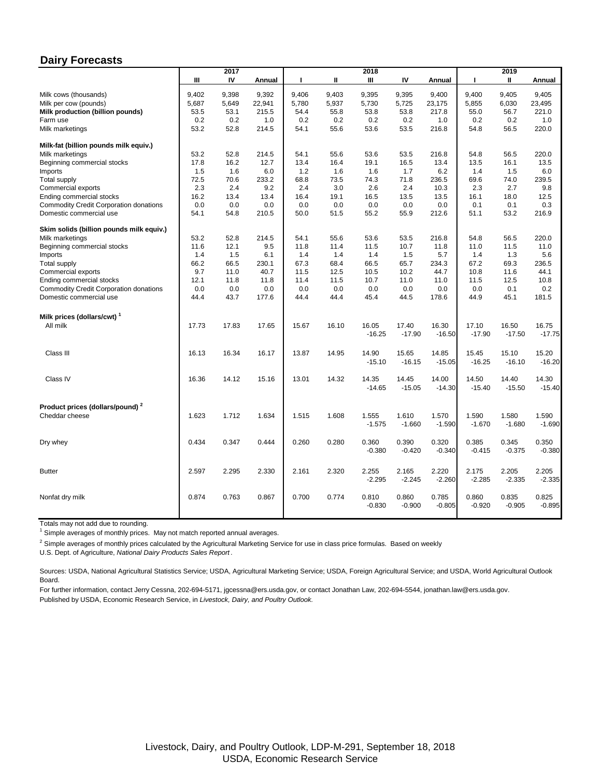Imports on a skim-solids basis are forecast slightly higher for 2019 at 5.6 billion pounds due to higher expected cheese imports. With lower expected whey product exports, the export forecast on a skimsolids basis has been lowered to 44.1 billion pounds, 0.7 billion less than last month's forecast. Ending stocks in 2019 are now expected to be 0.3 billion pounds higher than the last forecast, at 10.8 billion pounds. Domestic use on a skim-solids basis for 2019 is forecast 0.9 billion pounds higher, at 181.5 billion. CCC donations through the Trade Mitigation Food Purchase and Distribution Program for 2019 are expected to total 0.2 billion pounds on a skim-solids basis.

Although expectations are lower for whey product exports, tightness in the whey product markets is expected to last into the first part of 2019. As a result, the dry whey price forecast for 2019 has been raised to \$0.350-\$0.380 per pound. The NDM price forecast has been raised to \$0.825-\$0.895 per pound as recent price strength should continue into 2019. The cheddar cheese price forecast for 2019 is unchanged at \$1.590-\$1.690 per pound, while the butter price forecast has been lowered slightly to \$2.205-\$2.335 per pound.

As a result of the higher whey price forecast, the 2019 Class III price forecast has been raised to \$15.20-\$16.20 per cwt. With the higher expected NDM price expected to more than offset the lower expected butter price, the Class IV forecast has been raised to \$14.30-\$15.40 per cwt. The all-milk price is forecast 30 cents higher at the midpoint of the range for the year, at \$16.75-\$17.75 per cwt.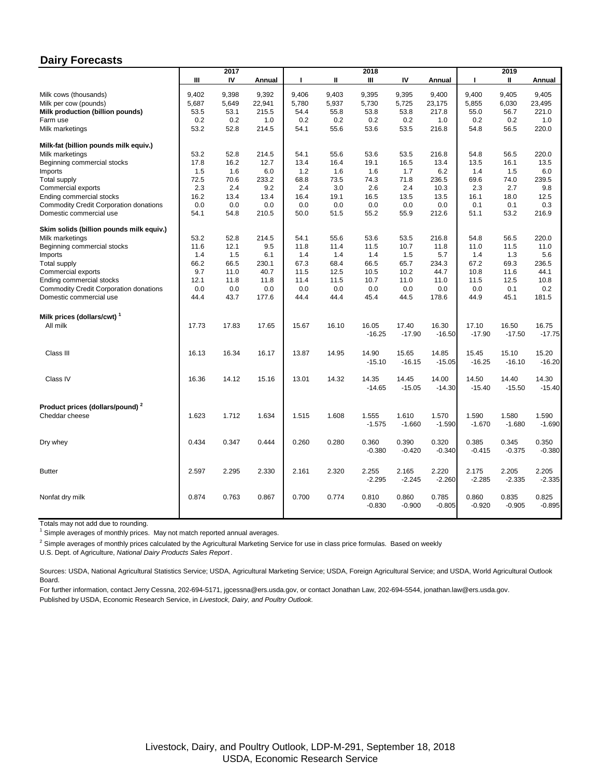# **Pork / Hogs**

### Mildred Haley

# Despite Accelerated Pork Production, Cold Stocks Remain Relatively Current

From the beginning of 2018 through the end of July, the U.S pork industry has produced 3.8 percent more pork compared with the same period last year. Despite accelerated rates of pork production, it is notable that 2018 pork stocks have remained relatively current. The figure below shows monthly USDA\NASS data for pork cold stocks indicating that since the beginning of the year, pork stocks have maintained levels about equal to, or below, their 3- and 5-year averages.



### **Pork, total cold stocks**

The increases in pork production have largely been consumed either domestically or in foreign markets. In the first 7 months of 2018—the latest time for which a full set of data is available—per capita disappearance was about 36.9 pounds. In 2017, over the same 7-month period, domestic per capita disappearance was about 35.9 pounds. On the export side, through July, 3.5 billion pounds of pork have been exported, an increase of 6.5 percent over the same period last year. This volume constitutes 23.1 percent of commercial pork production, compared with 22.5 percent over the same period in 2017.

More pork on the market this year has driven pork prices lower, likely inducing consumers—both domestic and foreign—to demand larger quantities of pork. The figure below shows the wholesale pork carcass cutout for January-July 2018 and 2017. So far in 2018, this composite wholesale pork price has averaged \$75.66 per cwt, more than12 percent below the same period last year.

Source: National Agricultural Statistics Service, USDA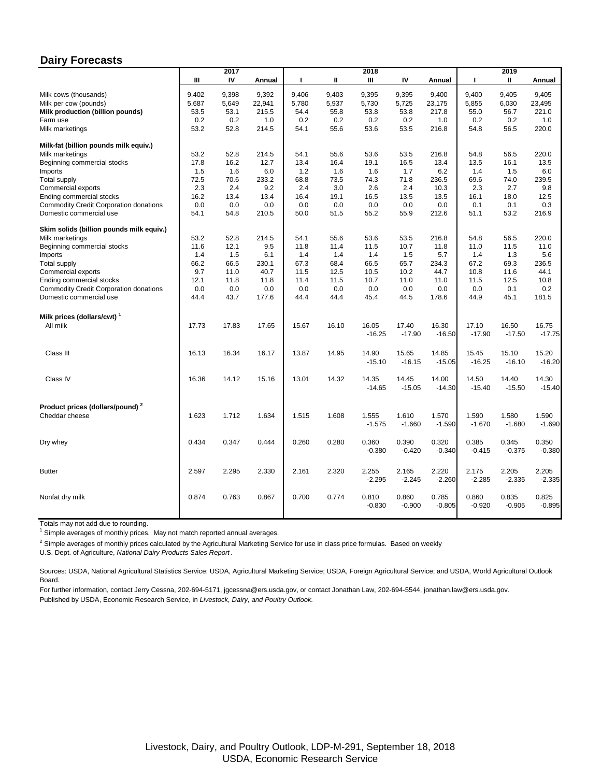### **Wholesale pork carcass cutout**



# Lower Hog Prices Are Anticipated Through First-Half of 2019

Larger slaughter numbers are expected to weigh on hog prices from now through the first half of 2019. Third-quarter prices of live equivalent 51-52 percent lean hogs will likely average \$42-\$43 per cwt, while fourth-quarter average prices are expected to decline to \$31-\$33 per cwt. First-quarter hog prices are anticipated to average \$36-\$38 per cwt, almost 25 percent lower than a year earlier. Secondquarter prices are expected to average \$41-\$45 per cwt, about 10 percent below a year earlier.

USDA\NASS will release results from its producer survey on September 27, 2018. The *Quarterly Hogs and Pigs* report will detail September 1 hog and pig inventories, the June-August farrowings, pig crop and litter rates, and producer farrowing intentions for the fall and winter quarters.

### July Exports Exceed Year-Earlier Levels Despite Tariffs

Pork exports in July were 425 million pounds, almost 9 percent more than a year earlier. Total exports were stronger despite lower shipments to Mexico and China, both of which have imposed retaliatory tariffs on U.S pork products. July exports were supported by strong shipments to South Korea, Japan, the Philippines, Australia, and Colombia. July exports to the 10 largest export destinations are summarized below.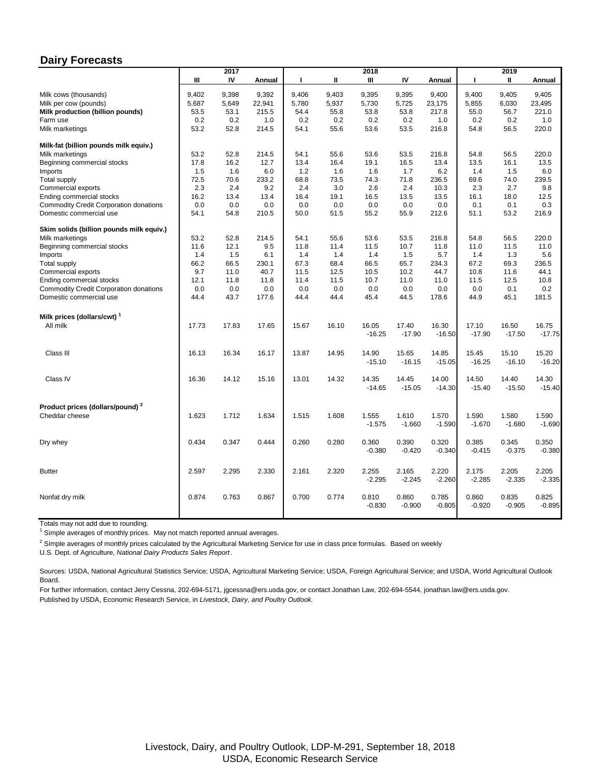### **U.S. pork exports: Volumes and export shares of the 10 largest foreign destinations, July 2017 and 2018**

|                | Country            | <b>Exports</b><br><b>July 2017</b><br>(mil. lbs) | Exports<br><b>July 2018</b><br>(mil. lbs) | Percent<br>change<br>(2018/2017) | Export share<br><b>July 2017</b><br>$\%$ | Export share<br><b>July 2018</b><br>% |
|----------------|--------------------|--------------------------------------------------|-------------------------------------------|----------------------------------|------------------------------------------|---------------------------------------|
|                | World              | 390                                              | 425                                       | 8.9                              |                                          |                                       |
| 1              | Mexico             | 129                                              | 127                                       | $-1.0$                           | 33.0                                     | 30.0                                  |
| $\overline{2}$ | Japan              | 88                                               | 94                                        | 6.6                              | 22.5                                     | 22.1                                  |
| 3              | South Korea        | 25                                               | 41                                        | 64.0                             | 6.4                                      | 9.6                                   |
| 4              | Canada             | 45                                               | 41                                        | $-9.4$                           | 11.5                                     | 9.6                                   |
| 5              | China/Hong Kong    | 28                                               | 23                                        | $-17.3$                          | 7.3                                      | 5.5                                   |
| 6              | Australia          | 17                                               | 18                                        | 8.6                              | 4.2                                      | 4.2                                   |
| 7              | Colombia           | 11                                               | 17                                        | 52.8                             | 2.9                                      | 4.0                                   |
| 8              | Chile              | 8                                                | 11                                        | 32.4                             | 2.1                                      | 2.6                                   |
| 9              | Dominican Republic | 7                                                | 11                                        | 61.1                             | 1.7                                      | 2.5                                   |
| 10             | Philippines        | 7                                                | 10                                        | 44.7                             | 1.8                                      | 2.4                                   |

Source: Economic Research Service, USDA.

Third-quarter pork exports are expected to total 1.3 billion pounds, almost 6 percent above exports a year ago. Exports for 2018 are anticipated to total just shy of 6 billion pounds, an increase over 2017 of more than 6 percent. Next year, 2019 exports are expected to be 6.1 billion pounds, an increase of about 2 percent over this year's forecast.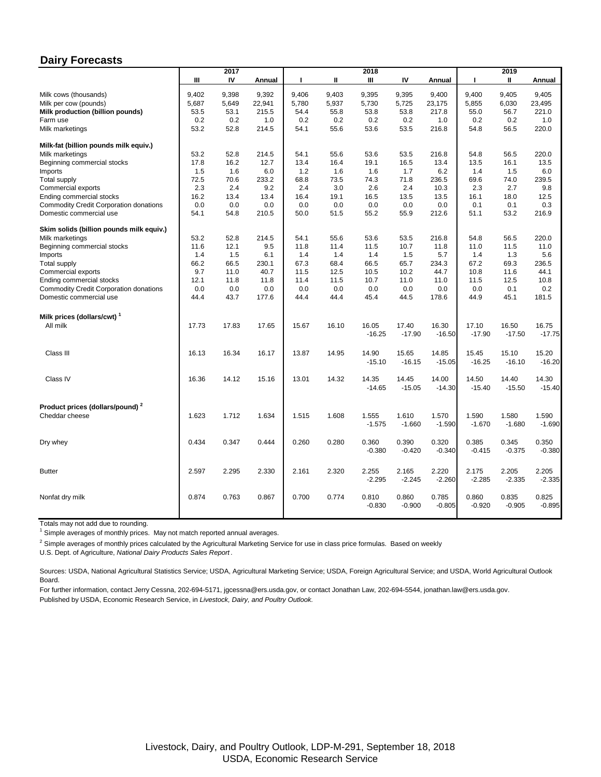# **Poultry**

### Sean Ramos, Kim Ha, and Alex Melton

### Broiler Production Expectations Steady

July broiler production was 3.6 billion pounds, 2.4 percent higher than a year earlier after adjusting for 1 more slaughter day this year. Growth was the result of average live weights up 1.0 percent from last year and more birds slaughtered.

As of August 1st, a reduction of 1.0 percent of the breeder inventory from the previous month left 58.2 million birds, reflecting a seasonal decline typically associated with reduced temperatures and expectations for seasonally weaker broiler meat demand later in the year. The rate of decline has occurred faster than normal, most likely related to dynamics occurring within the breeder flock.

Inventory levels this year have been at elevated levels to compensate for lower breeder productivity, including fewer eggs per layer and fewer of those hatching than in previous years. This year, first-ofthe-month inventory has averaged 4 percent higher year-over-year, double the average growth rate for 2013-17.

The figure below shows that recent breeder productivity has recovered by attaining faster-than-normal growth in eggs per layer. June-July eggs produced per 100 birds this year were much closer to the average of the previous 5 years than earlier months. As a result, breeder inventory declines have been partly offset and it is expected that producers will manage inventory levels with reference to breeder productivity. With these largely offsetting changes, projected broiler production was not revised, with growth expected at 2.3 percent for 2018 and 1.9 percent for 2019.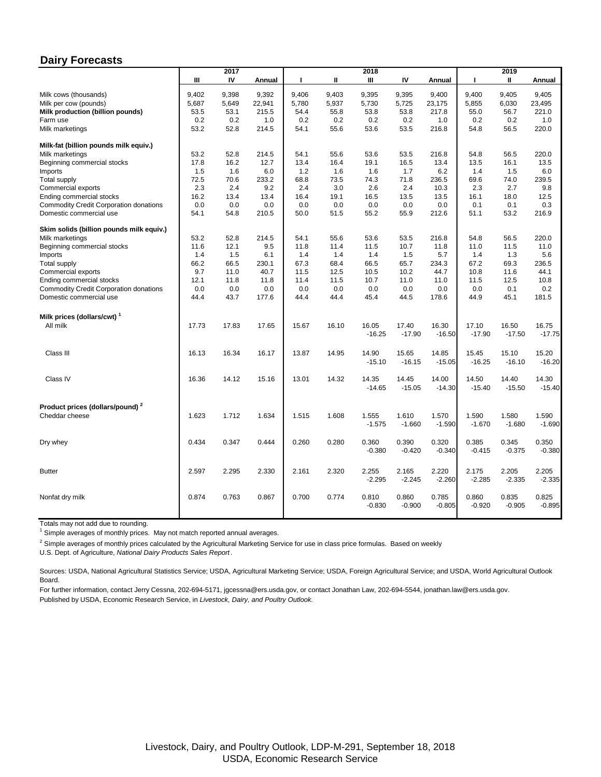#### **Breeder productivity trended upward recently**



*Average daily egg production per 100 broiler type layers*

Source: Economic Research Service calculations using data from U.S. Dept. of Agriculture, National Agricultural Statistics Service.

### Broiler Export Volumes Up, but Values Down

Broiler exports were 584.6 million pounds in July, a 5-percent increase over July 2017 volumes. Conversely, July exports were valued at \$265.6 million, a 2-percent decrease over 2017 and the first year-over-year (YOY) decline since June 2016<sup>3</sup>. The top-five largest foreign broiler markets in terms of volume and value are presented in the table below. As the table shows, Mexico represents the largest share of the market, both in terms of volume and value. Also of note, while Canada is the fifth-largest market by volume, it is the second-largest market in terms of value.

| Top-five broiler markets by percent share of export market, by volume and value (YTD 2018) |
|--------------------------------------------------------------------------------------------|
|--------------------------------------------------------------------------------------------|

|   | Volume  |         |                | Value   |  |  |
|---|---------|---------|----------------|---------|--|--|
|   | Country | % Share | <b>Country</b> | % Share |  |  |
|   | Mexico  | 19.8    | Mexico         | 16.0    |  |  |
|   | Taiwan  | 7.5     | Canada         | 11.8    |  |  |
| 3 | Angola  | 7.0     | Taiwan         | 7.0     |  |  |
| 4 | Cuba    | 6.9     | Angola         | 6.0     |  |  |
| 5 | Canada  | 4.6     | Cuba           | 5.2     |  |  |

July shipments to Mexico increased 15 percent by volume YOY, likely in part due to substitution of U.S. pork, exports of which were down 1 percent. The price per unit of broiler products exported to Mexico was down YOY across the board, but the sizeable increase in volume flow made up for declining prices; the value of shipments was up marginally, just shy of 1 percent over the previous year. U.S. broiler export volumes to Taiwan and Angola increased YOY by 34 percent and 22 percent, respectively, driven by increases of dark meat. While the value of shipments increased by 19 percent

<sup>&</sup>lt;sup>3</sup> June 2016 was the final month in an 18-month-long streak of YOY declines of broiler export values.

Livestock, Dairy, and Poultry Outlook, LDP-M-291, September 18, 2018 USDA, Economic Research Service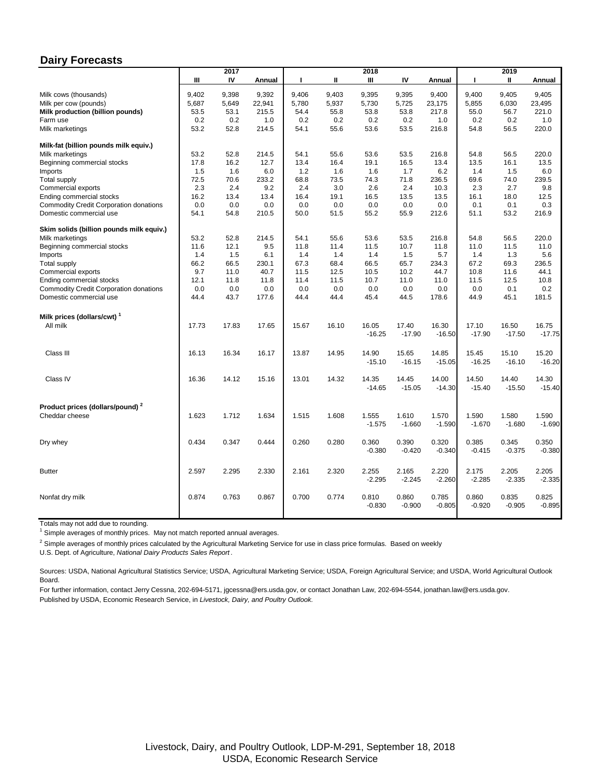YOY to Taiwan and by 14 percent to Angola, the average price per unit decreased by 11 percent and 6 percent, respectively, due to declining prices of U.S. dark meat. Shipments to Cuba were down 29 percent, driven by a 40-percent decline in volumes of dark meat, which constitutes 84 percent of broiler products to Cuba. The value of these exports was also down by 35 percent due to the lower dark meat prices. The U.S. exported 15 percent less broiler meat to Canada in July, likely due to strong Canadian broiler production. Total shipments were valued 17 percent lower than in 2017, due to lower volumes and decreasing prices of U.S. breast meat, which comprises 69 percent of broiler products sent to Canada.



#### **Year-over-year percentage change of broiler export indicators for top-five broiler markets (July 2018/2017)**

Source: U.S. Dept. of Agriculture, Economic Research Service calculations using data from U.S. Dept. of Commerce, Bureau of the Census.

# Broiler Prices Fall Sharply in August, Forecasts Decreased Through 2019

Weekly prices for whole broilers (national composite) during August dropped at a greater-than-seasonal rate, dipping below 2015 levels<sup>4</sup> for the week ending August 24 at 82.5 cents per pound (see chart below). After 5 consecutive week-over-week decreases exceeding 4 percent, it appears that prices have stabilized and have begun increasing slightly, lingering near 83 cents per pound. This downward pressure on broiler prices is likely due to a combination of large broiler meat supplies and competition from other meats. For the remainder of the year and through 2019, prices are forecast downward: thirdquarter prices are forecast lower to 93-94 cents per pound and fourth-quarter prices are forecast 82-86 cents per pound. For 2019, broiler prices are forecast to average 92-100 cents per pound, a decrease of 4 cents at the midpoint from last month's forecast.

 $\overline{a}$ 

<sup>4</sup> Broiler prices decreased significantly in the second half of 2015 through 2016, as a result of the highly pathogenic avian influenza.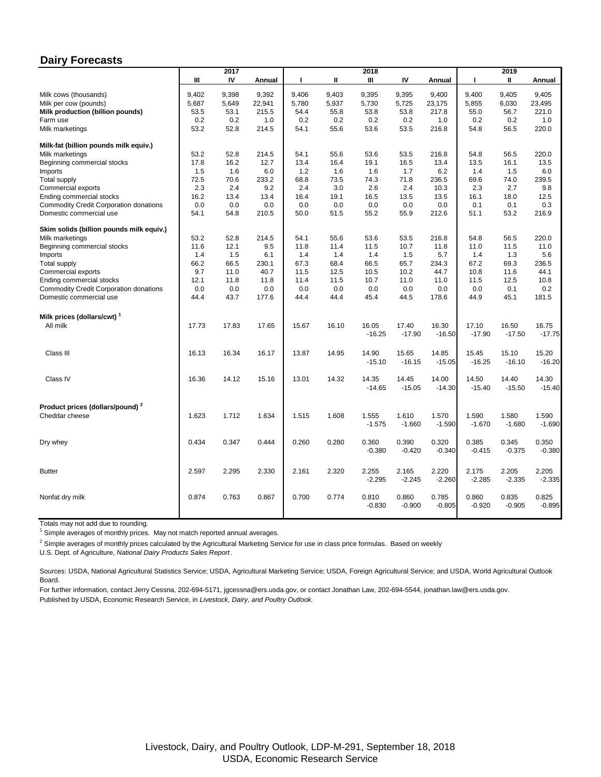#### **Broiler prices appear to stabilize after sharp decline**



Source: U.S. Dept. of Agriculture, Agricultural Marketing Service

# Egg Production Expectations Reduced Slightly

July table egg production reached 659 million dozen, an increase of 1.6-percent year over year. This was slightly lower growth than in the previous 2 months, as shown in the figure below. The August 1st inventory of table egg layers was 322.9 million, a decrease from the previous month, though August inventory is typically higher as a prelude to higher expected consumption demand in the fall months.

Slowing in table egg production and the inventory decline contributed to slightly lower second-half (2018) production projections. The forecast for second-half table egg production was reduced by 20 million dozen. Year-over-year growth in total (table plus hatching) production is now expected at 2.2 and 2.7 percent for the third and fourth quarters.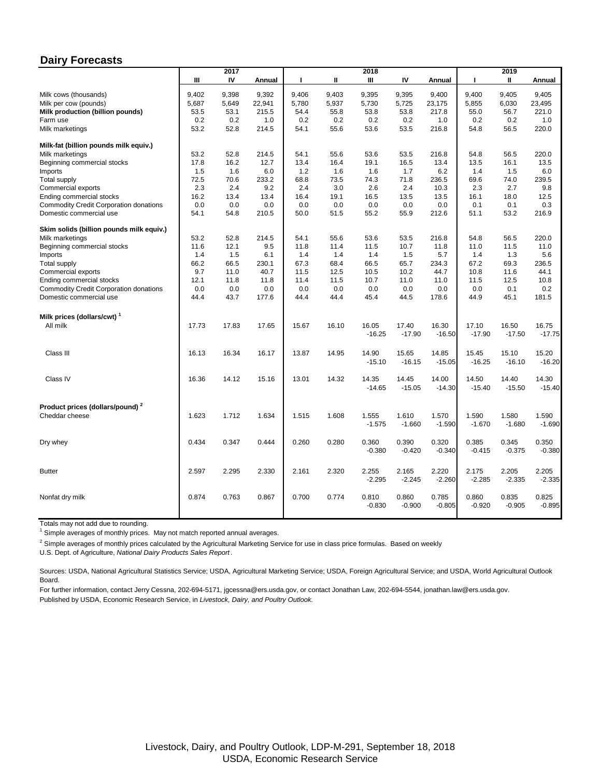### **Egg production growth slightly lower in July**

*Year-over-year growth of table egg production*



Source: Economic Research Service calculations using data from U.S. Dept. of Agriculture, National Agricultural Statistics Service.

# Benchmark Egg Prices Stable

In August, midpoint prices for eggs at wholesale (large grade A eggs, New York) increased 17 cents from \$1.09 per dozen before declining to close the month at \$1.14. The downward move in prices before September contributed to a lower third-quarter price projection, down to \$1.24-1.27 per dozen. Notably, the average August price was within a standard deviation of the 5 years prior to avian influenza (2015) for the first year since then. Sustained production growth may support more stable prices than have occurred so far this year.

# Egg Exports Down, Imports Remain Low

July exports of eggs and egg products were 25.8 million dozen (shell-egg equivalent), 2 percent below last year. Higher-than-expected prices in June and July, led by domestic prices above \$1.50 per dozen for much of July, may have dampened foreign buyer incentives. Fewer exports to Mexico (-1.0 million dozen), United Arab Emirates (-0.9 million dozen), and South Korea (-0.8 million dozen) accounted for most of the export decline. Export strength to Canada (+1.6 million dozen) and elsewhere only partly offset the declines in total exports.

U.S. imports of eggs and products in July remained relatively low at 1.6 million dozen, given the prevailing domestic price levels. Imports from Canada accounted for the largest portion at 0.7 million dozen. Imports from Thailand have been trending up and reached 0.4 million dozen, primarily of egg products.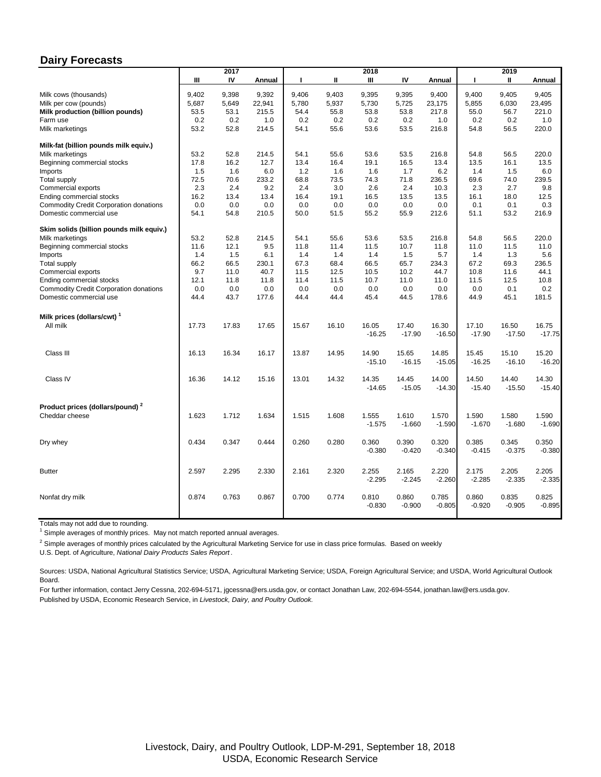# Turkey Production up Slightly in July but Outlook for Growth Remains Modest

July 2018 turkey production totaled 483 million pounds, a 3-percent increase from July 2017; however, this reflects an additional slaughter day relative to July 2017. On an average daily slaughter basis in July, production was down 2 percent compared with daily averages from a year earlier. Hatchery report data for July showed 3 and 4 percent growth in poults hatched and placed, respectively. Aside from a modest 1-percent increase in poults hatched in April 2018, both metrics had been negative compared with a year earlier since December 2017. Eggs in incubators on the first of the month remained down 3 percent in August, marking their ninth consecutive month in the negative. The data suggest that producers are working to contain growth in the face of diminishing returns brought about by wholesale prices that have remained far below recent historical averages. The 2018 turkey production forecast is lowered by 10 million pounds to 5.929 billion pounds, 1 percent below 2017. Turkey production for 2019 is increased by 15 million pounds to 5.985 billion pounds, a 1-percent increase over the 2018 forecast.



### **Turkey poults placed and hatched**

Source: USDA, Economic Research Service using USDA, National Agricultural Statistics Service Turkey Hatchery report.

## Whole Turkey Prices Remain Strikingly Flat in 2018

Wholesale whole-hen frozen turkey prices have been remarkably stable throughout 2018 after their nearly 2-year fall to prices last seen in 2010. The latest price data, covering the week ending September 14, 2018, shows frozen whole hen prices at 84 cents per pound, well below early-September prices for the past several years. The low wholesale prices indicate that turkey meat demand has not kept pace with production, further supported by higher than average stocks in cold storage. Turkey prices for 2018 are forecast to average \$0.80 to \$0.82 per pound for the year, at the

> **19** Livestock, Dairy, and Poultry Outlook, LDP-M-291, September 18, 2018 USDA, Economic Research Service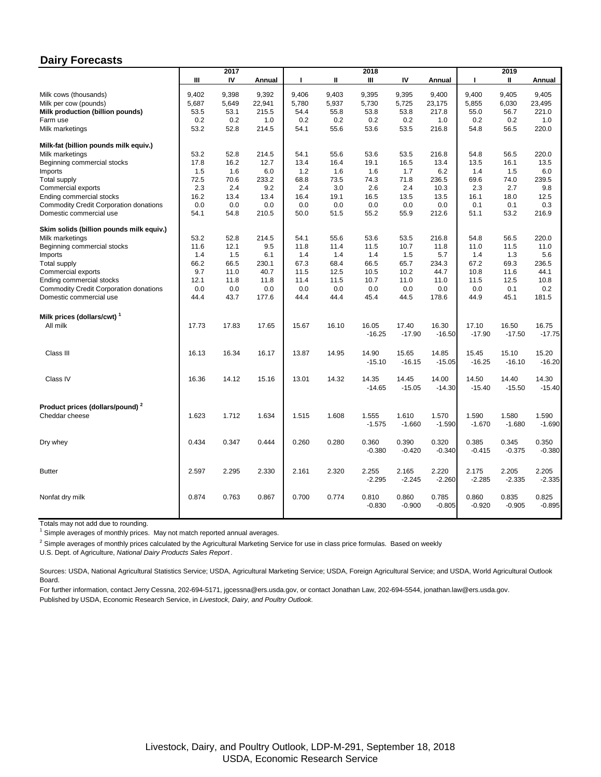midpoint about 16 percent below prices in 2017. In 2019, turkey prices are expected to average \$0.81 to \$0.88. If realized, prices at the midpoint of the range would be 4 percent higher than expectations for 2018.

#### **U.S. Wholesale frozen hen turkey price**

1.6 1.4 1.2 1.0 0.8 0.6 0.4 0.2 January 10 January 16 January 16 January 18 January 17 January January January January

Dollars per pound

Note: Data are reported weekly through September 14, 2018. Source: USDA, Economic Research Service Livestock and Meat Domestic data and USDA, Agricultural Marketing Service Market News reports.

### Turkey Exports Decrease Again in July

July 2018 turkey exports were 10 percent lower than a year earlier, totaling 47 million pounds. This marks the third consecutive month of year-over-year declines in turkey exports. Prior to the past 3 months, exports were seen as a lone bright spot given the sluggish domestic market. Exports had grown, often by double digits, in 8 consecutive months and 20 of the previous 21 months. July shipments to Mexico were down 6 percent from a year earlier. Mexico remains the largest destination for U.S. turkey shipments, with 29 million pounds shipped in July, or 63 percent of all U.S. shipments. Exports are expected to total 630 million pounds in 2018, a 1-percent increase over 2017. In 2019, turkey meat exports are expected to total 640 million pounds or a 2-percent increase over 2018.